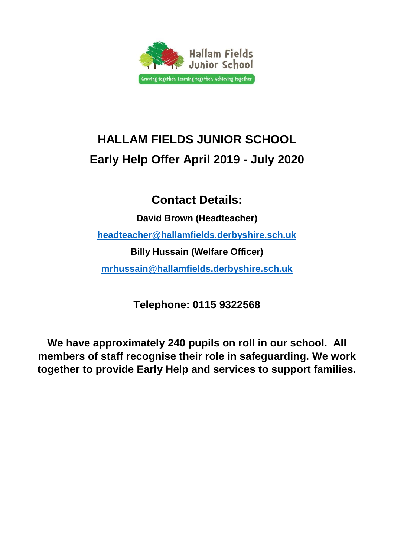

# **HALLAM FIELDS JUNIOR SCHOOL Early Help Offer April 2019 - July 2020**

# **Contact Details:**

**David Brown (Headteacher) headteacher@hallamfields.derbyshire.sch.uk Billy Hussain (Welfare Officer) [mrhussain@hallamfields.derbyshire.sch.uk](mailto:ehorridge@holmgate.derbyshire.sch.uk)**

**Telephone: 0115 9322568**

**We have approximately 240 pupils on roll in our school. All members of staff recognise their role in safeguarding. We work together to provide Early Help and services to support families.**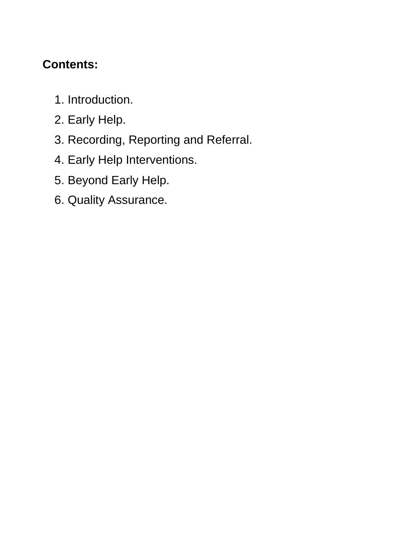# **Contents:**

- 1. Introduction.
- 2. Early Help.
- 3. Recording, Reporting and Referral.
- 4. Early Help Interventions.
- 5. Beyond Early Help.
- 6. Quality Assurance.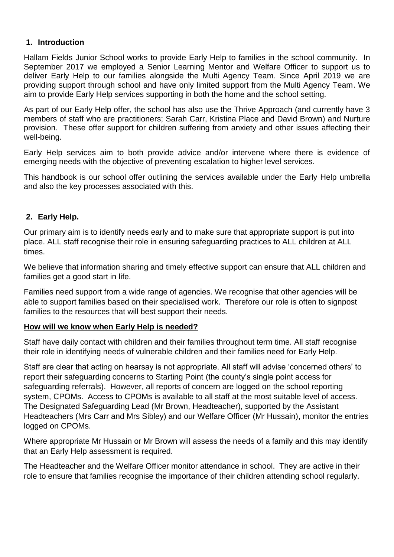#### **1. Introduction**

Hallam Fields Junior School works to provide Early Help to families in the school community. In September 2017 we employed a Senior Learning Mentor and Welfare Officer to support us to deliver Early Help to our families alongside the Multi Agency Team. Since April 2019 we are providing support through school and have only limited support from the Multi Agency Team. We aim to provide Early Help services supporting in both the home and the school setting.

As part of our Early Help offer, the school has also use the Thrive Approach (and currently have 3 members of staff who are practitioners; Sarah Carr, Kristina Place and David Brown) and Nurture provision. These offer support for children suffering from anxiety and other issues affecting their well-being.

Early Help services aim to both provide advice and/or intervene where there is evidence of emerging needs with the objective of preventing escalation to higher level services.

This handbook is our school offer outlining the services available under the Early Help umbrella and also the key processes associated with this.

#### **2. Early Help.**

Our primary aim is to identify needs early and to make sure that appropriate support is put into place. ALL staff recognise their role in ensuring safeguarding practices to ALL children at ALL times.

We believe that information sharing and timely effective support can ensure that ALL children and families get a good start in life.

Families need support from a wide range of agencies. We recognise that other agencies will be able to support families based on their specialised work. Therefore our role is often to signpost families to the resources that will best support their needs.

## **How will we know when Early Help is needed?**

Staff have daily contact with children and their families throughout term time. All staff recognise their role in identifying needs of vulnerable children and their families need for Early Help.

Staff are clear that acting on hearsay is not appropriate. All staff will advise 'concerned others' to report their safeguarding concerns to Starting Point (the county's single point access for safeguarding referrals). However, all reports of concern are logged on the school reporting system, CPOMs. Access to CPOMs is available to all staff at the most suitable level of access. The Designated Safeguarding Lead (Mr Brown, Headteacher), supported by the Assistant Headteachers (Mrs Carr and Mrs Sibley) and our Welfare Officer (Mr Hussain), monitor the entries logged on CPOMs.

Where appropriate Mr Hussain or Mr Brown will assess the needs of a family and this may identify that an Early Help assessment is required.

The Headteacher and the Welfare Officer monitor attendance in school. They are active in their role to ensure that families recognise the importance of their children attending school regularly.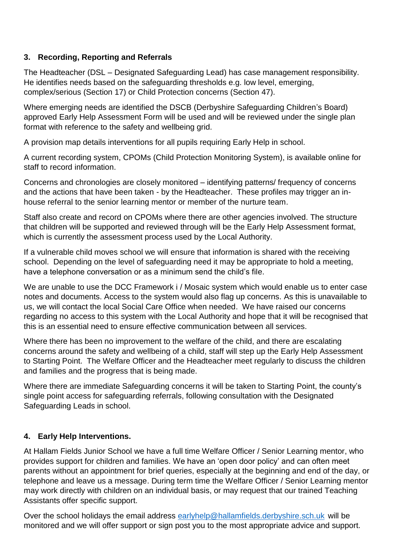## **3. Recording, Reporting and Referrals**

The Headteacher (DSL – Designated Safeguarding Lead) has case management responsibility. He identifies needs based on the safeguarding thresholds e.g. low level, emerging, complex/serious (Section 17) or Child Protection concerns (Section 47).

Where emerging needs are identified the DSCB (Derbyshire Safeguarding Children's Board) approved Early Help Assessment Form will be used and will be reviewed under the single plan format with reference to the safety and wellbeing grid.

A provision map details interventions for all pupils requiring Early Help in school.

A current recording system, CPOMs (Child Protection Monitoring System), is available online for staff to record information.

Concerns and chronologies are closely monitored – identifying patterns/ frequency of concerns and the actions that have been taken - by the Headteacher. These profiles may trigger an inhouse referral to the senior learning mentor or member of the nurture team.

Staff also create and record on CPOMs where there are other agencies involved. The structure that children will be supported and reviewed through will be the Early Help Assessment format, which is currently the assessment process used by the Local Authority.

If a vulnerable child moves school we will ensure that information is shared with the receiving school. Depending on the level of safeguarding need it may be appropriate to hold a meeting, have a telephone conversation or as a minimum send the child's file.

We are unable to use the DCC Framework i / Mosaic system which would enable us to enter case notes and documents. Access to the system would also flag up concerns. As this is unavailable to us, we will contact the local Social Care Office when needed. We have raised our concerns regarding no access to this system with the Local Authority and hope that it will be recognised that this is an essential need to ensure effective communication between all services.

Where there has been no improvement to the welfare of the child, and there are escalating concerns around the safety and wellbeing of a child, staff will step up the Early Help Assessment to Starting Point. The Welfare Officer and the Headteacher meet regularly to discuss the children and families and the progress that is being made.

Where there are immediate Safeguarding concerns it will be taken to Starting Point, the county's single point access for safeguarding referrals, following consultation with the Designated Safeguarding Leads in school.

## **4. Early Help Interventions.**

At Hallam Fields Junior School we have a full time Welfare Officer / Senior Learning mentor, who provides support for children and families. We have an 'open door policy' and can often meet parents without an appointment for brief queries, especially at the beginning and end of the day, or telephone and leave us a message. During term time the Welfare Officer / Senior Learning mentor may work directly with children on an individual basis, or may request that our trained Teaching Assistants offer specific support.

Over the school holidays the email address [earlyhelp@hallamfields.derbyshire.sch.uk](mailto:earlyhelp@hallamfields.derbyshire.sch.uk) will be monitored and we will offer support or sign post you to the most appropriate advice and support.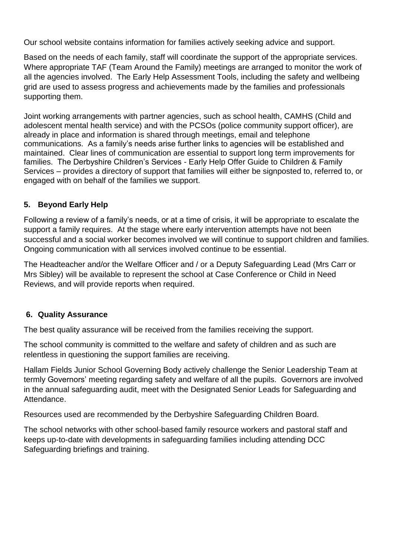Our school website contains information for families actively seeking advice and support.

Based on the needs of each family, staff will coordinate the support of the appropriate services. Where appropriate TAF (Team Around the Family) meetings are arranged to monitor the work of all the agencies involved. The Early Help Assessment Tools, including the safety and wellbeing grid are used to assess progress and achievements made by the families and professionals supporting them.

Joint working arrangements with partner agencies, such as school health, CAMHS (Child and adolescent mental health service) and with the PCSOs (police community support officer), are already in place and information is shared through meetings, email and telephone communications. As a family's needs arise further links to agencies will be established and maintained. Clear lines of communication are essential to support long term improvements for families. The Derbyshire Children's Services - Early Help Offer Guide to Children & Family Services – provides a directory of support that families will either be signposted to, referred to, or engaged with on behalf of the families we support.

## **5. Beyond Early Help**

Following a review of a family's needs, or at a time of crisis, it will be appropriate to escalate the support a family requires. At the stage where early intervention attempts have not been successful and a social worker becomes involved we will continue to support children and families. Ongoing communication with all services involved continue to be essential.

The Headteacher and/or the Welfare Officer and / or a Deputy Safeguarding Lead (Mrs Carr or Mrs Sibley) will be available to represent the school at Case Conference or Child in Need Reviews, and will provide reports when required.

#### **6. Quality Assurance**

The best quality assurance will be received from the families receiving the support.

The school community is committed to the welfare and safety of children and as such are relentless in questioning the support families are receiving.

Hallam Fields Junior School Governing Body actively challenge the Senior Leadership Team at termly Governors' meeting regarding safety and welfare of all the pupils. Governors are involved in the annual safeguarding audit, meet with the Designated Senior Leads for Safeguarding and Attendance.

Resources used are recommended by the Derbyshire Safeguarding Children Board.

The school networks with other school-based family resource workers and pastoral staff and keeps up-to-date with developments in safeguarding families including attending DCC Safeguarding briefings and training.